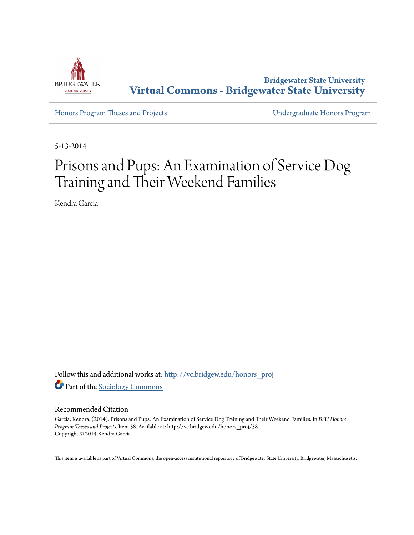

**Bridgewater State University [Virtual Commons - Bridgewater State University](http://vc.bridgew.edu?utm_source=vc.bridgew.edu%2Fhonors_proj%2F58&utm_medium=PDF&utm_campaign=PDFCoverPages)**

[Honors Program Theses and Projects](http://vc.bridgew.edu/honors_proj?utm_source=vc.bridgew.edu%2Fhonors_proj%2F58&utm_medium=PDF&utm_campaign=PDFCoverPages) [Undergraduate Honors Program](http://vc.bridgew.edu/honors?utm_source=vc.bridgew.edu%2Fhonors_proj%2F58&utm_medium=PDF&utm_campaign=PDFCoverPages)

5-13-2014

# Prisons and Pups: An Examination of Service Dog Training and Their Weekend Families

Kendra Garcia

Follow this and additional works at: [http://vc.bridgew.edu/honors\\_proj](http://vc.bridgew.edu/honors_proj?utm_source=vc.bridgew.edu%2Fhonors_proj%2F58&utm_medium=PDF&utm_campaign=PDFCoverPages) Part of the [Sociology Commons](http://network.bepress.com/hgg/discipline/416?utm_source=vc.bridgew.edu%2Fhonors_proj%2F58&utm_medium=PDF&utm_campaign=PDFCoverPages)

#### Recommended Citation

Garcia, Kendra. (2014). Prisons and Pups: An Examination of Service Dog Training and Their Weekend Families. In *BSU Honors Program Theses and Projects.* Item 58. Available at: http://vc.bridgew.edu/honors\_proj/58 Copyright © 2014 Kendra Garcia

This item is available as part of Virtual Commons, the open-access institutional repository of Bridgewater State University, Bridgewater, Massachusetts.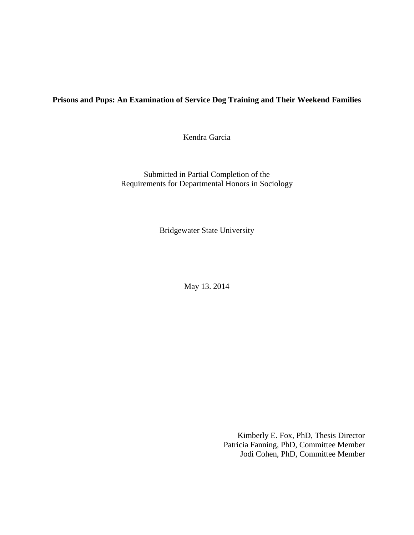## **Prisons and Pups: An Examination of Service Dog Training and Their Weekend Families**

Kendra Garcia

Submitted in Partial Completion of the Requirements for Departmental Honors in Sociology

Bridgewater State University

May 13. 2014

Kimberly E. Fox, PhD, Thesis Director Patricia Fanning, PhD, Committee Member Jodi Cohen, PhD, Committee Member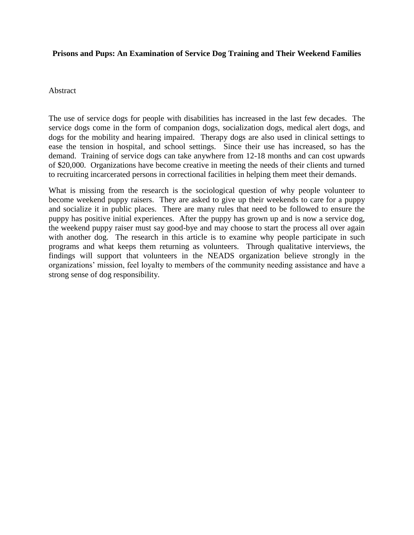## **Prisons and Pups: An Examination of Service Dog Training and Their Weekend Families**

## Abstract

The use of service dogs for people with disabilities has increased in the last few decades. The service dogs come in the form of companion dogs, socialization dogs, medical alert dogs, and dogs for the mobility and hearing impaired. Therapy dogs are also used in clinical settings to ease the tension in hospital, and school settings. Since their use has increased, so has the demand. Training of service dogs can take anywhere from 12-18 months and can cost upwards of \$20,000. Organizations have become creative in meeting the needs of their clients and turned to recruiting incarcerated persons in correctional facilities in helping them meet their demands.

What is missing from the research is the sociological question of why people volunteer to become weekend puppy raisers. They are asked to give up their weekends to care for a puppy and socialize it in public places. There are many rules that need to be followed to ensure the puppy has positive initial experiences. After the puppy has grown up and is now a service dog, the weekend puppy raiser must say good-bye and may choose to start the process all over again with another dog. The research in this article is to examine why people participate in such programs and what keeps them returning as volunteers. Through qualitative interviews, the findings will support that volunteers in the NEADS organization believe strongly in the organizations' mission, feel loyalty to members of the community needing assistance and have a strong sense of dog responsibility.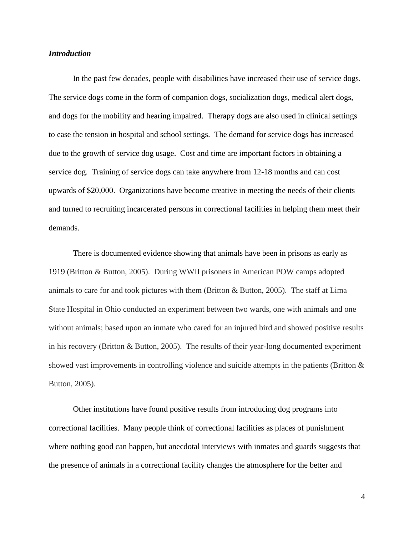## *Introduction*

In the past few decades, people with disabilities have increased their use of service dogs. The service dogs come in the form of companion dogs, socialization dogs, medical alert dogs, and dogs for the mobility and hearing impaired. Therapy dogs are also used in clinical settings to ease the tension in hospital and school settings. The demand for service dogs has increased due to the growth of service dog usage. Cost and time are important factors in obtaining a service dog. Training of service dogs can take anywhere from 12-18 months and can cost upwards of \$20,000. Organizations have become creative in meeting the needs of their clients and turned to recruiting incarcerated persons in correctional facilities in helping them meet their demands.

There is documented evidence showing that animals have been in prisons as early as 1919 (Britton & Button, 2005). During WWII prisoners in American POW camps adopted animals to care for and took pictures with them (Britton  $\&$  Button, 2005). The staff at Lima State Hospital in Ohio conducted an experiment between two wards, one with animals and one without animals; based upon an inmate who cared for an injured bird and showed positive results in his recovery (Britton & Button, 2005). The results of their year-long documented experiment showed vast improvements in controlling violence and suicide attempts in the patients (Britton & Button, 2005).

Other institutions have found positive results from introducing dog programs into correctional facilities. Many people think of correctional facilities as places of punishment where nothing good can happen, but anecdotal interviews with inmates and guards suggests that the presence of animals in a correctional facility changes the atmosphere for the better and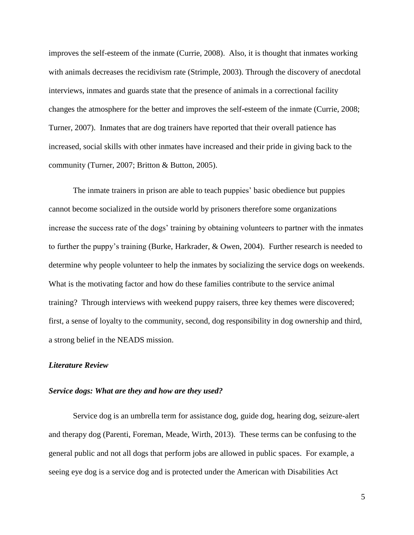improves the self-esteem of the inmate (Currie, 2008). Also, it is thought that inmates working with animals decreases the recidivism rate (Strimple, 2003). Through the discovery of anecdotal interviews, inmates and guards state that the presence of animals in a correctional facility changes the atmosphere for the better and improves the self-esteem of the inmate (Currie, 2008; Turner, 2007). Inmates that are dog trainers have reported that their overall patience has increased, social skills with other inmates have increased and their pride in giving back to the community (Turner, 2007; Britton & Button, 2005).

The inmate trainers in prison are able to teach puppies' basic obedience but puppies cannot become socialized in the outside world by prisoners therefore some organizations increase the success rate of the dogs' training by obtaining volunteers to partner with the inmates to further the puppy's training (Burke, Harkrader, & Owen, 2004). Further research is needed to determine why people volunteer to help the inmates by socializing the service dogs on weekends. What is the motivating factor and how do these families contribute to the service animal training? Through interviews with weekend puppy raisers, three key themes were discovered; first, a sense of loyalty to the community, second, dog responsibility in dog ownership and third, a strong belief in the NEADS mission.

## *Literature Review*

## *Service dogs: What are they and how are they used?*

Service dog is an umbrella term for assistance dog, guide dog, hearing dog, seizure-alert and therapy dog (Parenti, Foreman, Meade, Wirth, 2013). These terms can be confusing to the general public and not all dogs that perform jobs are allowed in public spaces. For example, a seeing eye dog is a service dog and is protected under the American with Disabilities Act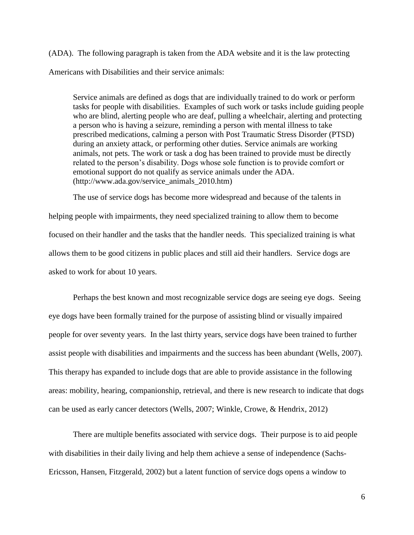(ADA). The following paragraph is taken from the ADA website and it is the law protecting Americans with Disabilities and their service animals:

Service animals are defined as dogs that are individually trained to do work or perform tasks for people with disabilities. Examples of such work or tasks include guiding people who are blind, alerting people who are deaf, pulling a wheelchair, alerting and protecting a person who is having a seizure, reminding a person with mental illness to take prescribed medications, calming a person with Post Traumatic Stress Disorder (PTSD) during an anxiety attack, or performing other duties. Service animals are working animals, not pets. The work or task a dog has been trained to provide must be directly related to the person's disability. Dogs whose sole function is to provide comfort or emotional support do not qualify as service animals under the ADA. (http://www.ada.gov/service\_animals\_2010.htm)

The use of service dogs has become more widespread and because of the talents in helping people with impairments, they need specialized training to allow them to become focused on their handler and the tasks that the handler needs. This specialized training is what allows them to be good citizens in public places and still aid their handlers. Service dogs are asked to work for about 10 years.

Perhaps the best known and most recognizable service dogs are seeing eye dogs. Seeing eye dogs have been formally trained for the purpose of assisting blind or visually impaired people for over seventy years. In the last thirty years, service dogs have been trained to further assist people with disabilities and impairments and the success has been abundant (Wells, 2007). This therapy has expanded to include dogs that are able to provide assistance in the following areas: mobility, hearing, companionship, retrieval, and there is new research to indicate that dogs can be used as early cancer detectors (Wells, 2007; Winkle, Crowe, & Hendrix, 2012)

There are multiple benefits associated with service dogs. Their purpose is to aid people with disabilities in their daily living and help them achieve a sense of independence (Sachs-Ericsson, Hansen, Fitzgerald, 2002) but a latent function of service dogs opens a window to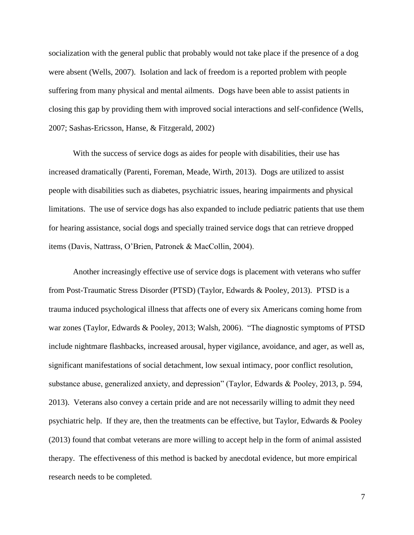socialization with the general public that probably would not take place if the presence of a dog were absent (Wells, 2007). Isolation and lack of freedom is a reported problem with people suffering from many physical and mental ailments. Dogs have been able to assist patients in closing this gap by providing them with improved social interactions and self-confidence (Wells, 2007; Sashas-Ericsson, Hanse, & Fitzgerald, 2002)

With the success of service dogs as aides for people with disabilities, their use has increased dramatically (Parenti, Foreman, Meade, Wirth, 2013). Dogs are utilized to assist people with disabilities such as diabetes, psychiatric issues, hearing impairments and physical limitations. The use of service dogs has also expanded to include pediatric patients that use them for hearing assistance, social dogs and specially trained service dogs that can retrieve dropped items (Davis, Nattrass, O'Brien, Patronek & MacCollin, 2004).

Another increasingly effective use of service dogs is placement with veterans who suffer from Post-Traumatic Stress Disorder (PTSD) (Taylor, Edwards & Pooley, 2013). PTSD is a trauma induced psychological illness that affects one of every six Americans coming home from war zones (Taylor, Edwards & Pooley, 2013; Walsh, 2006). "The diagnostic symptoms of PTSD include nightmare flashbacks, increased arousal, hyper vigilance, avoidance, and ager, as well as, significant manifestations of social detachment, low sexual intimacy, poor conflict resolution, substance abuse, generalized anxiety, and depression" (Taylor, Edwards & Pooley, 2013, p. 594, 2013). Veterans also convey a certain pride and are not necessarily willing to admit they need psychiatric help. If they are, then the treatments can be effective, but Taylor, Edwards & Pooley (2013) found that combat veterans are more willing to accept help in the form of animal assisted therapy. The effectiveness of this method is backed by anecdotal evidence, but more empirical research needs to be completed.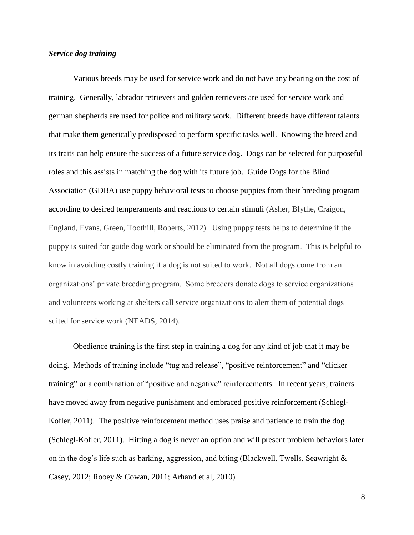## *Service dog training*

Various breeds may be used for service work and do not have any bearing on the cost of training. Generally, labrador retrievers and golden retrievers are used for service work and german shepherds are used for police and military work. Different breeds have different talents that make them genetically predisposed to perform specific tasks well. Knowing the breed and its traits can help ensure the success of a future service dog. Dogs can be selected for purposeful roles and this assists in matching the dog with its future job. Guide Dogs for the Blind Association (GDBA) use puppy behavioral tests to choose puppies from their breeding program according to desired temperaments and reactions to certain stimuli (Asher, Blythe, Craigon, England, Evans, Green, Toothill, Roberts, 2012). Using puppy tests helps to determine if the puppy is suited for guide dog work or should be eliminated from the program. This is helpful to know in avoiding costly training if a dog is not suited to work. Not all dogs come from an organizations' private breeding program. Some breeders donate dogs to service organizations and volunteers working at shelters call service organizations to alert them of potential dogs suited for service work (NEADS, 2014).

Obedience training is the first step in training a dog for any kind of job that it may be doing. Methods of training include "tug and release", "positive reinforcement" and "clicker training" or a combination of "positive and negative" reinforcements. In recent years, trainers have moved away from negative punishment and embraced positive reinforcement (Schlegl-Kofler, 2011). The positive reinforcement method uses praise and patience to train the dog (Schlegl-Kofler, 2011). Hitting a dog is never an option and will present problem behaviors later on in the dog's life such as barking, aggression, and biting (Blackwell, Twells, Seawright  $\&$ Casey, 2012; Rooey & Cowan, 2011; Arhand et al, 2010)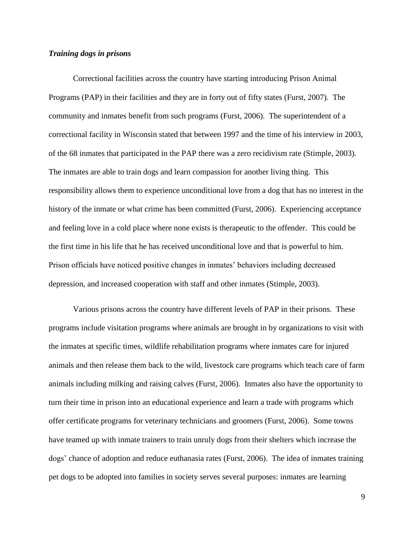## *Training dogs in prisons*

Correctional facilities across the country have starting introducing Prison Animal Programs (PAP) in their facilities and they are in forty out of fifty states (Furst, 2007). The community and inmates benefit from such programs (Furst, 2006). The superintendent of a correctional facility in Wisconsin stated that between 1997 and the time of his interview in 2003, of the 68 inmates that participated in the PAP there was a zero recidivism rate (Stimple, 2003). The inmates are able to train dogs and learn compassion for another living thing. This responsibility allows them to experience unconditional love from a dog that has no interest in the history of the inmate or what crime has been committed (Furst, 2006). Experiencing acceptance and feeling love in a cold place where none exists is therapeutic to the offender. This could be the first time in his life that he has received unconditional love and that is powerful to him. Prison officials have noticed positive changes in inmates' behaviors including decreased depression, and increased cooperation with staff and other inmates (Stimple, 2003).

Various prisons across the country have different levels of PAP in their prisons. These programs include visitation programs where animals are brought in by organizations to visit with the inmates at specific times, wildlife rehabilitation programs where inmates care for injured animals and then release them back to the wild, livestock care programs which teach care of farm animals including milking and raising calves (Furst, 2006). Inmates also have the opportunity to turn their time in prison into an educational experience and learn a trade with programs which offer certificate programs for veterinary technicians and groomers (Furst, 2006). Some towns have teamed up with inmate trainers to train unruly dogs from their shelters which increase the dogs' chance of adoption and reduce euthanasia rates (Furst, 2006). The idea of inmates training pet dogs to be adopted into families in society serves several purposes: inmates are learning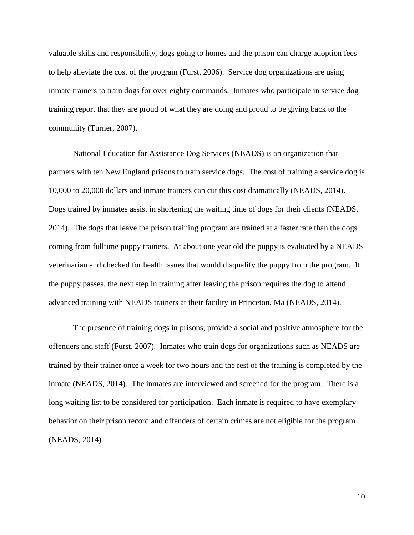valuable skills and responsibility, dogs going to homes and the prison can charge adoption fees to help alleviate the cost of the program (Furst, 2006). Service dog organizations are using inmate trainers to train dogs for over eighty commands. Inmates who participate in service dog training report that they are proud of what they are doing and proud to be giving back to the community (Turner, 2007).

National Education for Assistance Dog Services (NEADS) is an organization that partners with ten New England prisons to train service dogs. The cost of training a service dog is 10,000 to 20,000 dollars and inmate trainers can cut this cost dramatically (NEADS, 2014). Dogs trained by inmates assist in shortening the waiting time of dogs for their clients (NEADS, 2014). The dogs that leave the prison training program are trained at a faster rate than the dogs coming from fulltime puppy trainers. At about one year old the puppy is evaluated by a NEADS veterinarian and checked for health issues that would disqualify the puppy from the program. If the puppy passes, the next step in training after leaving the prison requires the dog to attend advanced training with NEADS trainers at their facility in Princeton, Ma (NEADS, 2014).

The presence of training dogs in prisons, provide a social and positive atmosphere for the offenders and staff (Furst, 2007). Inmates who train dogs for organizations such as NEADS are trained by their trainer once a week for two hours and the rest of the training is completed by the inmate (NEADS, 2014). The inmates are interviewed and screened for the program. There is a long waiting list to be considered for participation. Each inmate is required to have exemplary behavior on their prison record and offenders of certain crimes are not eligible for the program (NEADS, 2014).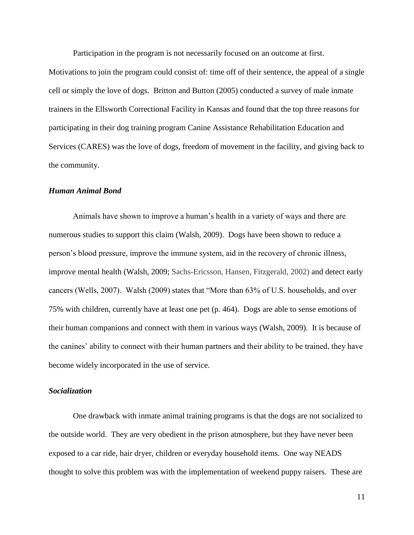Participation in the program is not necessarily focused on an outcome at first.

Motivations to join the program could consist of: time off of their sentence, the appeal of a single cell or simply the love of dogs. Britton and Button (2005) conducted a survey of male inmate trainers in the Ellsworth Correctional Facility in Kansas and found that the top three reasons for participating in their dog training program Canine Assistance Rehabilitation Education and Services (CARES) was the love of dogs, freedom of movement in the facility, and giving back to the community.

## *Human Animal Bond*

Animals have shown to improve a human's health in a variety of ways and there are numerous studies to support this claim (Walsh, 2009). Dogs have been shown to reduce a person's blood pressure, improve the immune system, aid in the recovery of chronic illness, improve mental health (Walsh, 2009; Sachs-Ericsson, Hansen, Fitzgerald, 2002) and detect early cancers (Wells, 2007). Walsh (2009) states that "More than 63% of U.S. households, and over 75% with children, currently have at least one pet (p. 464). Dogs are able to sense emotions of their human companions and connect with them in various ways (Walsh, 2009). It is because of the canines' ability to connect with their human partners and their ability to be trained, they have become widely incorporated in the use of service.

## *Socialization*

One drawback with inmate animal training programs is that the dogs are not socialized to the outside world. They are very obedient in the prison atmosphere, but they have never been exposed to a car ride, hair dryer, children or everyday household items. One way NEADS thought to solve this problem was with the implementation of weekend puppy raisers. These are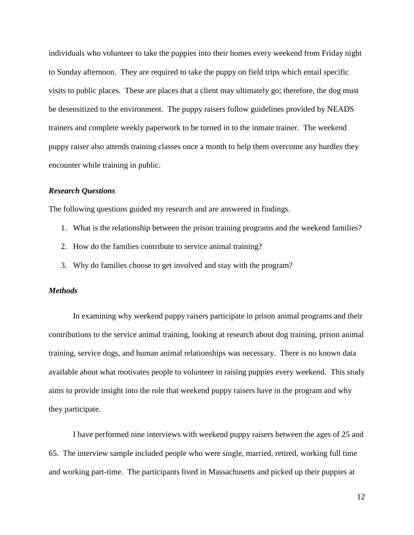individuals who volunteer to take the puppies into their homes every weekend from Friday night to Sunday afternoon. They are required to take the puppy on field trips which entail specific visits to public places. These are places that a client may ultimately go; therefore, the dog must be desensitized to the environment. The puppy raisers follow guidelines provided by NEADS trainers and complete weekly paperwork to be turned in to the inmate trainer. The weekend puppy raiser also attends training classes once a month to help them overcome any hurdles they encounter while training in public.

## *Research Questions*

The following questions guided my research and are answered in findings.

- 1. What is the relationship between the prison training programs and the weekend families?
- 2. How do the families contribute to service animal training?
- 3. Why do families choose to get involved and stay with the program?

## *Methods*

In examining why weekend puppy raisers participate in prison animal programs and their contributions to the service animal training, looking at research about dog training, prison animal training, service dogs, and human animal relationships was necessary. There is no known data available about what motivates people to volunteer in raising puppies every weekend. This study aims to provide insight into the role that weekend puppy raisers have in the program and why they participate.

I have performed nine interviews with weekend puppy raisers between the ages of 25 and 65. The interview sample included people who were single, married, retired, working full time and working part-time. The participants lived in Massachusetts and picked up their puppies at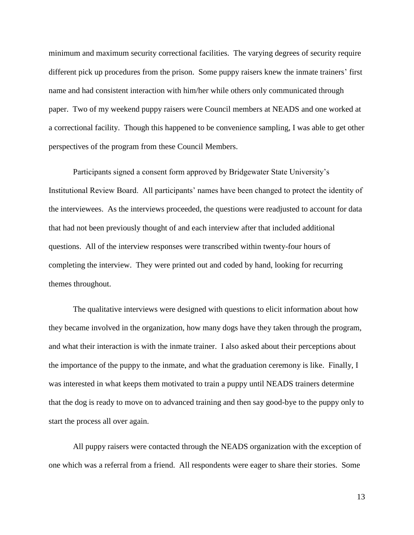minimum and maximum security correctional facilities. The varying degrees of security require different pick up procedures from the prison. Some puppy raisers knew the inmate trainers' first name and had consistent interaction with him/her while others only communicated through paper. Two of my weekend puppy raisers were Council members at NEADS and one worked at a correctional facility. Though this happened to be convenience sampling, I was able to get other perspectives of the program from these Council Members.

Participants signed a consent form approved by Bridgewater State University's Institutional Review Board. All participants' names have been changed to protect the identity of the interviewees. As the interviews proceeded, the questions were readjusted to account for data that had not been previously thought of and each interview after that included additional questions. All of the interview responses were transcribed within twenty-four hours of completing the interview. They were printed out and coded by hand, looking for recurring themes throughout.

The qualitative interviews were designed with questions to elicit information about how they became involved in the organization, how many dogs have they taken through the program, and what their interaction is with the inmate trainer. I also asked about their perceptions about the importance of the puppy to the inmate, and what the graduation ceremony is like. Finally, I was interested in what keeps them motivated to train a puppy until NEADS trainers determine that the dog is ready to move on to advanced training and then say good-bye to the puppy only to start the process all over again.

All puppy raisers were contacted through the NEADS organization with the exception of one which was a referral from a friend. All respondents were eager to share their stories. Some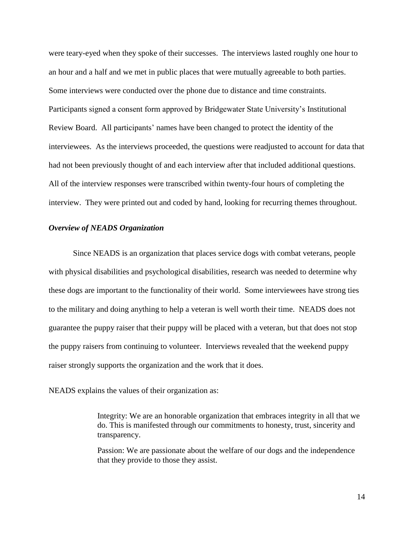were teary-eyed when they spoke of their successes. The interviews lasted roughly one hour to an hour and a half and we met in public places that were mutually agreeable to both parties. Some interviews were conducted over the phone due to distance and time constraints. Participants signed a consent form approved by Bridgewater State University's Institutional Review Board. All participants' names have been changed to protect the identity of the interviewees. As the interviews proceeded, the questions were readjusted to account for data that had not been previously thought of and each interview after that included additional questions. All of the interview responses were transcribed within twenty-four hours of completing the interview. They were printed out and coded by hand, looking for recurring themes throughout.

#### *Overview of NEADS Organization*

Since NEADS is an organization that places service dogs with combat veterans, people with physical disabilities and psychological disabilities, research was needed to determine why these dogs are important to the functionality of their world. Some interviewees have strong ties to the military and doing anything to help a veteran is well worth their time. NEADS does not guarantee the puppy raiser that their puppy will be placed with a veteran, but that does not stop the puppy raisers from continuing to volunteer. Interviews revealed that the weekend puppy raiser strongly supports the organization and the work that it does.

NEADS explains the values of their organization as:

Integrity: We are an honorable organization that embraces integrity in all that we do. This is manifested through our commitments to honesty, trust, sincerity and transparency.

Passion: We are passionate about the welfare of our dogs and the independence that they provide to those they assist.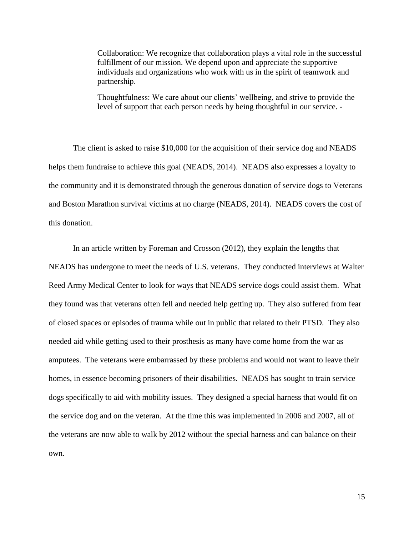Collaboration: We recognize that collaboration plays a vital role in the successful fulfillment of our mission. We depend upon and appreciate the supportive individuals and organizations who work with us in the spirit of teamwork and partnership.

Thoughtfulness: We care about our clients' wellbeing, and strive to provide the level of support that each person needs by being thoughtful in our service. -

The client is asked to raise \$10,000 for the acquisition of their service dog and NEADS helps them fundraise to achieve this goal (NEADS, 2014). NEADS also expresses a loyalty to the community and it is demonstrated through the generous donation of service dogs to Veterans and Boston Marathon survival victims at no charge (NEADS, 2014). NEADS covers the cost of this donation.

In an article written by Foreman and Crosson (2012), they explain the lengths that NEADS has undergone to meet the needs of U.S. veterans. They conducted interviews at Walter Reed Army Medical Center to look for ways that NEADS service dogs could assist them. What they found was that veterans often fell and needed help getting up. They also suffered from fear of closed spaces or episodes of trauma while out in public that related to their PTSD. They also needed aid while getting used to their prosthesis as many have come home from the war as amputees. The veterans were embarrassed by these problems and would not want to leave their homes, in essence becoming prisoners of their disabilities. NEADS has sought to train service dogs specifically to aid with mobility issues. They designed a special harness that would fit on the service dog and on the veteran. At the time this was implemented in 2006 and 2007, all of the veterans are now able to walk by 2012 without the special harness and can balance on their own.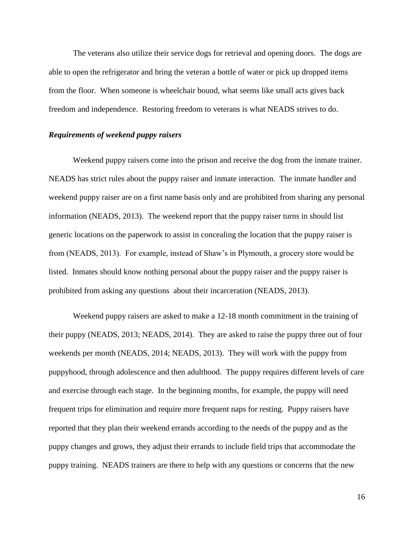The veterans also utilize their service dogs for retrieval and opening doors. The dogs are able to open the refrigerator and bring the veteran a bottle of water or pick up dropped items from the floor. When someone is wheelchair bound, what seems like small acts gives back freedom and independence. Restoring freedom to veterans is what NEADS strives to do.

## *Requirements of weekend puppy raisers*

Weekend puppy raisers come into the prison and receive the dog from the inmate trainer. NEADS has strict rules about the puppy raiser and inmate interaction. The inmate handler and weekend puppy raiser are on a first name basis only and are prohibited from sharing any personal information (NEADS, 2013). The weekend report that the puppy raiser turns in should list generic locations on the paperwork to assist in concealing the location that the puppy raiser is from (NEADS, 2013). For example, instead of Shaw's in Plymouth, a grocery store would be listed. Inmates should know nothing personal about the puppy raiser and the puppy raiser is prohibited from asking any questions about their incarceration (NEADS, 2013).

Weekend puppy raisers are asked to make a 12-18 month commitment in the training of their puppy (NEADS, 2013; NEADS, 2014). They are asked to raise the puppy three out of four weekends per month (NEADS, 2014; NEADS, 2013). They will work with the puppy from puppyhood, through adolescence and then adulthood. The puppy requires different levels of care and exercise through each stage. In the beginning months, for example, the puppy will need frequent trips for elimination and require more frequent naps for resting. Puppy raisers have reported that they plan their weekend errands according to the needs of the puppy and as the puppy changes and grows, they adjust their errands to include field trips that accommodate the puppy training. NEADS trainers are there to help with any questions or concerns that the new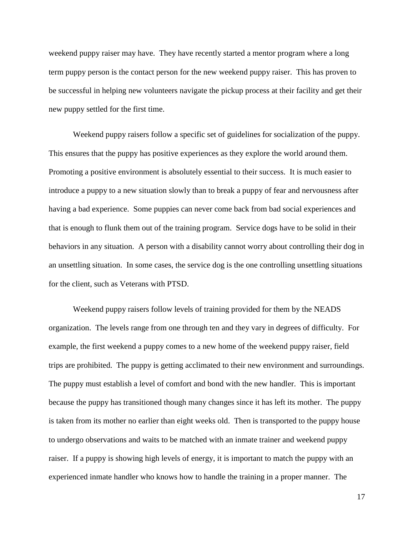weekend puppy raiser may have. They have recently started a mentor program where a long term puppy person is the contact person for the new weekend puppy raiser. This has proven to be successful in helping new volunteers navigate the pickup process at their facility and get their new puppy settled for the first time.

Weekend puppy raisers follow a specific set of guidelines for socialization of the puppy. This ensures that the puppy has positive experiences as they explore the world around them. Promoting a positive environment is absolutely essential to their success. It is much easier to introduce a puppy to a new situation slowly than to break a puppy of fear and nervousness after having a bad experience. Some puppies can never come back from bad social experiences and that is enough to flunk them out of the training program. Service dogs have to be solid in their behaviors in any situation. A person with a disability cannot worry about controlling their dog in an unsettling situation. In some cases, the service dog is the one controlling unsettling situations for the client, such as Veterans with PTSD.

Weekend puppy raisers follow levels of training provided for them by the NEADS organization. The levels range from one through ten and they vary in degrees of difficulty. For example, the first weekend a puppy comes to a new home of the weekend puppy raiser, field trips are prohibited. The puppy is getting acclimated to their new environment and surroundings. The puppy must establish a level of comfort and bond with the new handler. This is important because the puppy has transitioned though many changes since it has left its mother. The puppy is taken from its mother no earlier than eight weeks old. Then is transported to the puppy house to undergo observations and waits to be matched with an inmate trainer and weekend puppy raiser. If a puppy is showing high levels of energy, it is important to match the puppy with an experienced inmate handler who knows how to handle the training in a proper manner. The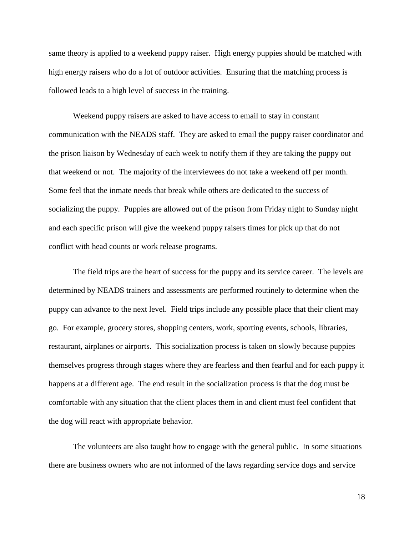same theory is applied to a weekend puppy raiser. High energy puppies should be matched with high energy raisers who do a lot of outdoor activities. Ensuring that the matching process is followed leads to a high level of success in the training.

Weekend puppy raisers are asked to have access to email to stay in constant communication with the NEADS staff. They are asked to email the puppy raiser coordinator and the prison liaison by Wednesday of each week to notify them if they are taking the puppy out that weekend or not. The majority of the interviewees do not take a weekend off per month. Some feel that the inmate needs that break while others are dedicated to the success of socializing the puppy. Puppies are allowed out of the prison from Friday night to Sunday night and each specific prison will give the weekend puppy raisers times for pick up that do not conflict with head counts or work release programs.

The field trips are the heart of success for the puppy and its service career. The levels are determined by NEADS trainers and assessments are performed routinely to determine when the puppy can advance to the next level. Field trips include any possible place that their client may go. For example, grocery stores, shopping centers, work, sporting events, schools, libraries, restaurant, airplanes or airports. This socialization process is taken on slowly because puppies themselves progress through stages where they are fearless and then fearful and for each puppy it happens at a different age. The end result in the socialization process is that the dog must be comfortable with any situation that the client places them in and client must feel confident that the dog will react with appropriate behavior.

The volunteers are also taught how to engage with the general public. In some situations there are business owners who are not informed of the laws regarding service dogs and service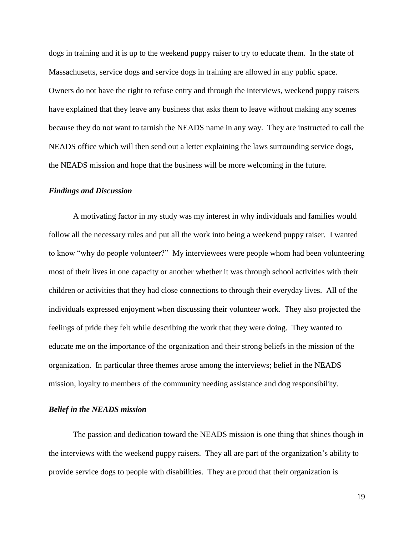dogs in training and it is up to the weekend puppy raiser to try to educate them. In the state of Massachusetts, service dogs and service dogs in training are allowed in any public space. Owners do not have the right to refuse entry and through the interviews, weekend puppy raisers have explained that they leave any business that asks them to leave without making any scenes because they do not want to tarnish the NEADS name in any way. They are instructed to call the NEADS office which will then send out a letter explaining the laws surrounding service dogs, the NEADS mission and hope that the business will be more welcoming in the future.

#### *Findings and Discussion*

A motivating factor in my study was my interest in why individuals and families would follow all the necessary rules and put all the work into being a weekend puppy raiser. I wanted to know "why do people volunteer?" My interviewees were people whom had been volunteering most of their lives in one capacity or another whether it was through school activities with their children or activities that they had close connections to through their everyday lives. All of the individuals expressed enjoyment when discussing their volunteer work. They also projected the feelings of pride they felt while describing the work that they were doing. They wanted to educate me on the importance of the organization and their strong beliefs in the mission of the organization. In particular three themes arose among the interviews; belief in the NEADS mission, loyalty to members of the community needing assistance and dog responsibility.

#### *Belief in the NEADS mission*

The passion and dedication toward the NEADS mission is one thing that shines though in the interviews with the weekend puppy raisers. They all are part of the organization's ability to provide service dogs to people with disabilities. They are proud that their organization is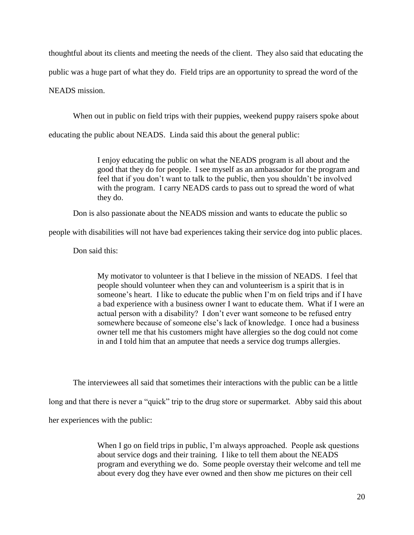thoughtful about its clients and meeting the needs of the client. They also said that educating the public was a huge part of what they do. Field trips are an opportunity to spread the word of the NEADS mission.

When out in public on field trips with their puppies, weekend puppy raisers spoke about

educating the public about NEADS. Linda said this about the general public:

I enjoy educating the public on what the NEADS program is all about and the good that they do for people. I see myself as an ambassador for the program and feel that if you don't want to talk to the public, then you shouldn't be involved with the program. I carry NEADS cards to pass out to spread the word of what they do.

Don is also passionate about the NEADS mission and wants to educate the public so

people with disabilities will not have bad experiences taking their service dog into public places.

Don said this:

My motivator to volunteer is that I believe in the mission of NEADS. I feel that people should volunteer when they can and volunteerism is a spirit that is in someone's heart. I like to educate the public when I'm on field trips and if I have a bad experience with a business owner I want to educate them. What if I were an actual person with a disability? I don't ever want someone to be refused entry somewhere because of someone else's lack of knowledge. I once had a business owner tell me that his customers might have allergies so the dog could not come in and I told him that an amputee that needs a service dog trumps allergies.

The interviewees all said that sometimes their interactions with the public can be a little long and that there is never a "quick" trip to the drug store or supermarket. Abby said this about her experiences with the public:

> When I go on field trips in public, I'm always approached. People ask questions about service dogs and their training. I like to tell them about the NEADS program and everything we do. Some people overstay their welcome and tell me about every dog they have ever owned and then show me pictures on their cell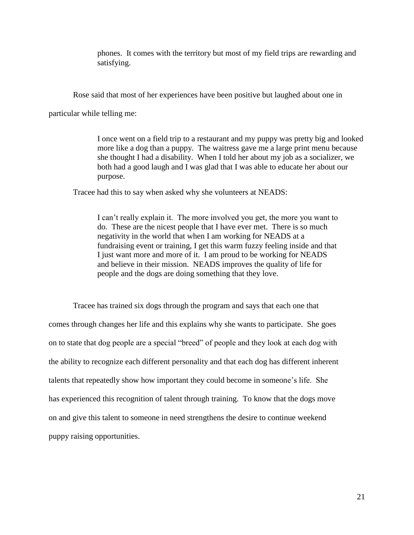phones. It comes with the territory but most of my field trips are rewarding and satisfying.

Rose said that most of her experiences have been positive but laughed about one in

particular while telling me:

I once went on a field trip to a restaurant and my puppy was pretty big and looked more like a dog than a puppy. The waitress gave me a large print menu because she thought I had a disability. When I told her about my job as a socializer, we both had a good laugh and I was glad that I was able to educate her about our purpose.

Tracee had this to say when asked why she volunteers at NEADS:

I can't really explain it. The more involved you get, the more you want to do. These are the nicest people that I have ever met. There is so much negativity in the world that when I am working for NEADS at a fundraising event or training, I get this warm fuzzy feeling inside and that I just want more and more of it. I am proud to be working for NEADS and believe in their mission. NEADS improves the quality of life for people and the dogs are doing something that they love.

Tracee has trained six dogs through the program and says that each one that comes through changes her life and this explains why she wants to participate. She goes on to state that dog people are a special "breed" of people and they look at each dog with the ability to recognize each different personality and that each dog has different inherent talents that repeatedly show how important they could become in someone's life. She has experienced this recognition of talent through training. To know that the dogs move on and give this talent to someone in need strengthens the desire to continue weekend puppy raising opportunities.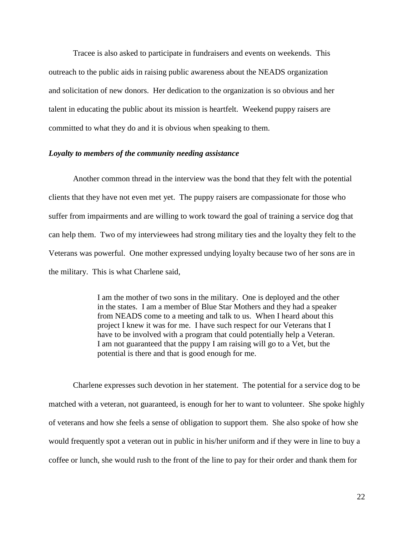Tracee is also asked to participate in fundraisers and events on weekends. This outreach to the public aids in raising public awareness about the NEADS organization and solicitation of new donors. Her dedication to the organization is so obvious and her talent in educating the public about its mission is heartfelt. Weekend puppy raisers are committed to what they do and it is obvious when speaking to them.

## *Loyalty to members of the community needing assistance*

Another common thread in the interview was the bond that they felt with the potential clients that they have not even met yet. The puppy raisers are compassionate for those who suffer from impairments and are willing to work toward the goal of training a service dog that can help them. Two of my interviewees had strong military ties and the loyalty they felt to the Veterans was powerful. One mother expressed undying loyalty because two of her sons are in the military. This is what Charlene said,

> I am the mother of two sons in the military. One is deployed and the other in the states. I am a member of Blue Star Mothers and they had a speaker from NEADS come to a meeting and talk to us. When I heard about this project I knew it was for me. I have such respect for our Veterans that I have to be involved with a program that could potentially help a Veteran. I am not guaranteed that the puppy I am raising will go to a Vet, but the potential is there and that is good enough for me.

Charlene expresses such devotion in her statement. The potential for a service dog to be matched with a veteran, not guaranteed, is enough for her to want to volunteer. She spoke highly of veterans and how she feels a sense of obligation to support them. She also spoke of how she would frequently spot a veteran out in public in his/her uniform and if they were in line to buy a coffee or lunch, she would rush to the front of the line to pay for their order and thank them for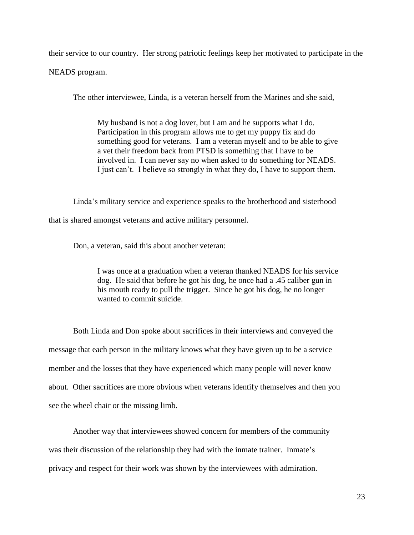their service to our country. Her strong patriotic feelings keep her motivated to participate in the NEADS program.

The other interviewee, Linda, is a veteran herself from the Marines and she said,

My husband is not a dog lover, but I am and he supports what I do. Participation in this program allows me to get my puppy fix and do something good for veterans. I am a veteran myself and to be able to give a vet their freedom back from PTSD is something that I have to be involved in. I can never say no when asked to do something for NEADS. I just can't. I believe so strongly in what they do, I have to support them.

Linda's military service and experience speaks to the brotherhood and sisterhood

that is shared amongst veterans and active military personnel.

Don, a veteran, said this about another veteran:

I was once at a graduation when a veteran thanked NEADS for his service dog. He said that before he got his dog, he once had a .45 caliber gun in his mouth ready to pull the trigger. Since he got his dog, he no longer wanted to commit suicide.

Both Linda and Don spoke about sacrifices in their interviews and conveyed the message that each person in the military knows what they have given up to be a service member and the losses that they have experienced which many people will never know about. Other sacrifices are more obvious when veterans identify themselves and then you see the wheel chair or the missing limb.

Another way that interviewees showed concern for members of the community was their discussion of the relationship they had with the inmate trainer. Inmate's privacy and respect for their work was shown by the interviewees with admiration.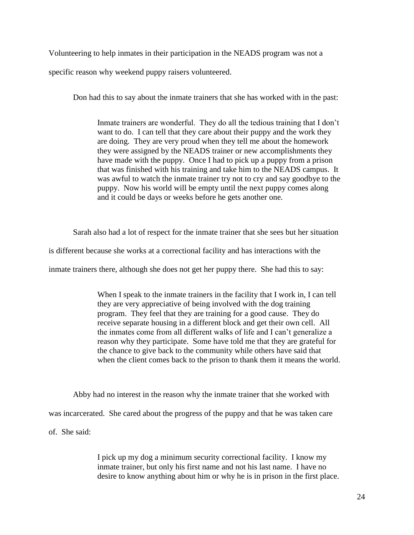Volunteering to help inmates in their participation in the NEADS program was not a

specific reason why weekend puppy raisers volunteered.

Don had this to say about the inmate trainers that she has worked with in the past:

Inmate trainers are wonderful. They do all the tedious training that I don't want to do. I can tell that they care about their puppy and the work they are doing. They are very proud when they tell me about the homework they were assigned by the NEADS trainer or new accomplishments they have made with the puppy. Once I had to pick up a puppy from a prison that was finished with his training and take him to the NEADS campus. It was awful to watch the inmate trainer try not to cry and say goodbye to the puppy. Now his world will be empty until the next puppy comes along and it could be days or weeks before he gets another one.

Sarah also had a lot of respect for the inmate trainer that she sees but her situation

is different because she works at a correctional facility and has interactions with the

inmate trainers there, although she does not get her puppy there. She had this to say:

When I speak to the inmate trainers in the facility that I work in, I can tell they are very appreciative of being involved with the dog training program. They feel that they are training for a good cause. They do receive separate housing in a different block and get their own cell. All the inmates come from all different walks of life and I can't generalize a reason why they participate. Some have told me that they are grateful for the chance to give back to the community while others have said that when the client comes back to the prison to thank them it means the world.

Abby had no interest in the reason why the inmate trainer that she worked with

was incarcerated. She cared about the progress of the puppy and that he was taken care

of. She said:

I pick up my dog a minimum security correctional facility. I know my inmate trainer, but only his first name and not his last name. I have no desire to know anything about him or why he is in prison in the first place.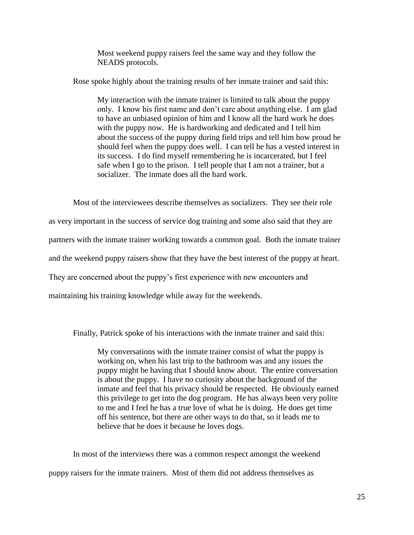Most weekend puppy raisers feel the same way and they follow the NEADS protocols.

Rose spoke highly about the training results of her inmate trainer and said this:

My interaction with the inmate trainer is limited to talk about the puppy only. I know his first name and don't care about anything else. I am glad to have an unbiased opinion of him and I know all the hard work he does with the puppy now. He is hardworking and dedicated and I tell him about the success of the puppy during field trips and tell him how proud he should feel when the puppy does well. I can tell he has a vested interest in its success. I do find myself remembering he is incarcerated, but I feel safe when I go to the prison. I tell people that I am not a trainer, but a socializer. The inmate does all the hard work.

Most of the interviewees describe themselves as socializers. They see their role as very important in the success of service dog training and some also said that they are partners with the inmate trainer working towards a common goal. Both the inmate trainer and the weekend puppy raisers show that they have the best interest of the puppy at heart. They are concerned about the puppy's first experience with new encounters and maintaining his training knowledge while away for the weekends.

Finally, Patrick spoke of his interactions with the inmate trainer and said this:

My conversations with the inmate trainer consist of what the puppy is working on, when his last trip to the bathroom was and any issues the puppy might be having that I should know about. The entire conversation is about the puppy. I have no curiosity about the background of the inmate and feel that his privacy should be respected. He obviously earned this privilege to get into the dog program. He has always been very polite to me and I feel he has a true love of what he is doing. He does get time off his sentence, but there are other ways to do that, so it leads me to believe that he does it because he loves dogs.

In most of the interviews there was a common respect amongst the weekend puppy raisers for the inmate trainers. Most of them did not address themselves as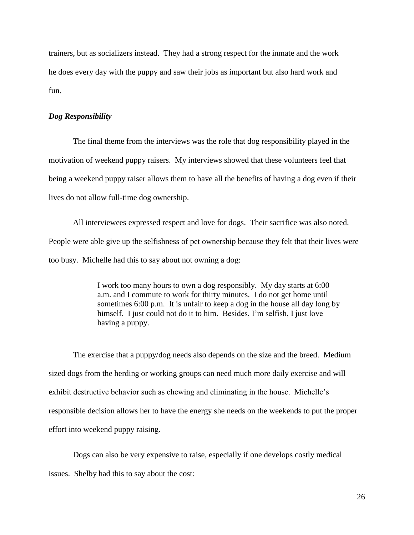trainers, but as socializers instead. They had a strong respect for the inmate and the work he does every day with the puppy and saw their jobs as important but also hard work and fun.

## *Dog Responsibility*

The final theme from the interviews was the role that dog responsibility played in the motivation of weekend puppy raisers. My interviews showed that these volunteers feel that being a weekend puppy raiser allows them to have all the benefits of having a dog even if their lives do not allow full-time dog ownership.

All interviewees expressed respect and love for dogs. Their sacrifice was also noted. People were able give up the selfishness of pet ownership because they felt that their lives were too busy. Michelle had this to say about not owning a dog:

> I work too many hours to own a dog responsibly. My day starts at 6:00 a.m. and I commute to work for thirty minutes. I do not get home until sometimes 6:00 p.m. It is unfair to keep a dog in the house all day long by himself. I just could not do it to him. Besides, I'm selfish, I just love having a puppy.

The exercise that a puppy/dog needs also depends on the size and the breed. Medium sized dogs from the herding or working groups can need much more daily exercise and will exhibit destructive behavior such as chewing and eliminating in the house. Michelle's responsible decision allows her to have the energy she needs on the weekends to put the proper effort into weekend puppy raising.

Dogs can also be very expensive to raise, especially if one develops costly medical issues. Shelby had this to say about the cost: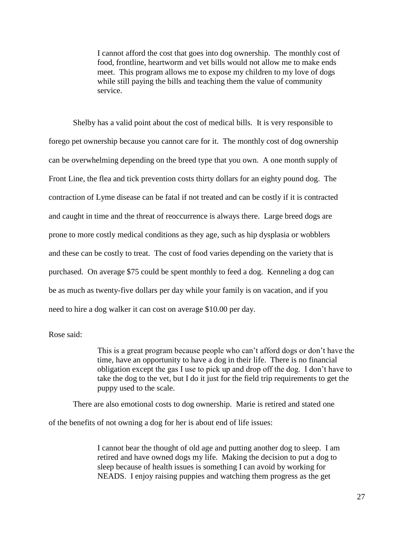I cannot afford the cost that goes into dog ownership. The monthly cost of food, frontline, heartworm and vet bills would not allow me to make ends meet. This program allows me to expose my children to my love of dogs while still paying the bills and teaching them the value of community service.

Shelby has a valid point about the cost of medical bills. It is very responsible to forego pet ownership because you cannot care for it. The monthly cost of dog ownership can be overwhelming depending on the breed type that you own. A one month supply of Front Line, the flea and tick prevention costs thirty dollars for an eighty pound dog. The contraction of Lyme disease can be fatal if not treated and can be costly if it is contracted and caught in time and the threat of reoccurrence is always there. Large breed dogs are prone to more costly medical conditions as they age, such as hip dysplasia or wobblers and these can be costly to treat. The cost of food varies depending on the variety that is purchased. On average \$75 could be spent monthly to feed a dog. Kenneling a dog can be as much as twenty-five dollars per day while your family is on vacation, and if you need to hire a dog walker it can cost on average \$10.00 per day.

Rose said:

This is a great program because people who can't afford dogs or don't have the time, have an opportunity to have a dog in their life. There is no financial obligation except the gas I use to pick up and drop off the dog. I don't have to take the dog to the vet, but I do it just for the field trip requirements to get the puppy used to the scale.

There are also emotional costs to dog ownership. Marie is retired and stated one

of the benefits of not owning a dog for her is about end of life issues:

I cannot bear the thought of old age and putting another dog to sleep. I am retired and have owned dogs my life. Making the decision to put a dog to sleep because of health issues is something I can avoid by working for NEADS. I enjoy raising puppies and watching them progress as the get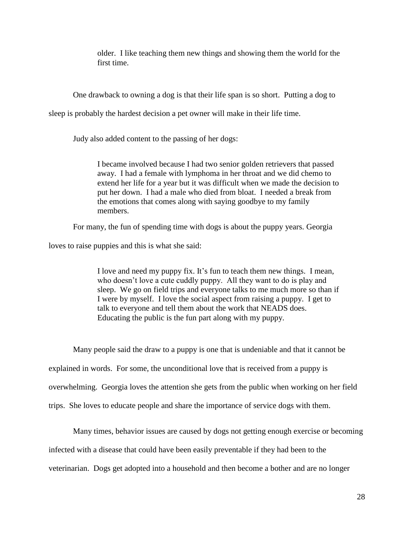older. I like teaching them new things and showing them the world for the first time.

One drawback to owning a dog is that their life span is so short. Putting a dog to

sleep is probably the hardest decision a pet owner will make in their life time.

Judy also added content to the passing of her dogs:

I became involved because I had two senior golden retrievers that passed away. I had a female with lymphoma in her throat and we did chemo to extend her life for a year but it was difficult when we made the decision to put her down. I had a male who died from bloat. I needed a break from the emotions that comes along with saying goodbye to my family members.

For many, the fun of spending time with dogs is about the puppy years. Georgia

loves to raise puppies and this is what she said:

I love and need my puppy fix. It's fun to teach them new things. I mean, who doesn't love a cute cuddly puppy. All they want to do is play and sleep. We go on field trips and everyone talks to me much more so than if I were by myself. I love the social aspect from raising a puppy. I get to talk to everyone and tell them about the work that NEADS does. Educating the public is the fun part along with my puppy.

Many people said the draw to a puppy is one that is undeniable and that it cannot be explained in words. For some, the unconditional love that is received from a puppy is overwhelming. Georgia loves the attention she gets from the public when working on her field trips. She loves to educate people and share the importance of service dogs with them.

Many times, behavior issues are caused by dogs not getting enough exercise or becoming infected with a disease that could have been easily preventable if they had been to the veterinarian. Dogs get adopted into a household and then become a bother and are no longer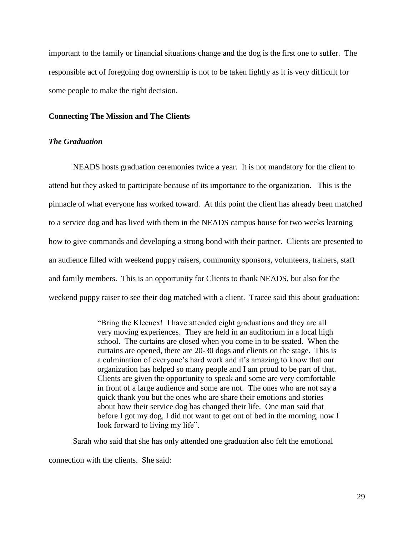important to the family or financial situations change and the dog is the first one to suffer. The responsible act of foregoing dog ownership is not to be taken lightly as it is very difficult for some people to make the right decision.

## **Connecting The Mission and The Clients**

#### *The Graduation*

NEADS hosts graduation ceremonies twice a year. It is not mandatory for the client to attend but they asked to participate because of its importance to the organization. This is the pinnacle of what everyone has worked toward. At this point the client has already been matched to a service dog and has lived with them in the NEADS campus house for two weeks learning how to give commands and developing a strong bond with their partner. Clients are presented to an audience filled with weekend puppy raisers, community sponsors, volunteers, trainers, staff and family members. This is an opportunity for Clients to thank NEADS, but also for the weekend puppy raiser to see their dog matched with a client. Tracee said this about graduation:

> "Bring the Kleenex! I have attended eight graduations and they are all very moving experiences. They are held in an auditorium in a local high school. The curtains are closed when you come in to be seated. When the curtains are opened, there are 20-30 dogs and clients on the stage. This is a culmination of everyone's hard work and it's amazing to know that our organization has helped so many people and I am proud to be part of that. Clients are given the opportunity to speak and some are very comfortable in front of a large audience and some are not. The ones who are not say a quick thank you but the ones who are share their emotions and stories about how their service dog has changed their life. One man said that before I got my dog, I did not want to get out of bed in the morning, now I look forward to living my life".

Sarah who said that she has only attended one graduation also felt the emotional

connection with the clients. She said: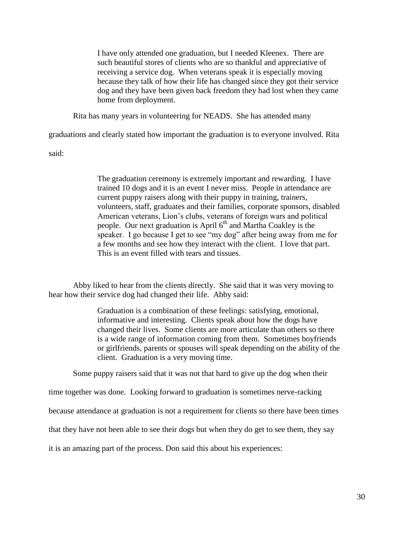I have only attended one graduation, but I needed Kleenex. There are such beautiful stores of clients who are so thankful and appreciative of receiving a service dog. When veterans speak it is especially moving because they talk of how their life has changed since they got their service dog and they have been given back freedom they had lost when they came home from deployment.

Rita has many years in volunteering for NEADS. She has attended many

graduations and clearly stated how important the graduation is to everyone involved. Rita

said:

The graduation ceremony is extremely important and rewarding. I have trained 10 dogs and it is an event I never miss. People in attendance are current puppy raisers along with their puppy in training, trainers, volunteers, staff, graduates and their families, corporate sponsors, disabled American veterans, Lion's clubs, veterans of foreign wars and political people. Our next graduation is April  $6<sup>th</sup>$  and Martha Coakley is the speaker. I go because I get to see "my dog" after being away from me for a few months and see how they interact with the client. I love that part. This is an event filled with tears and tissues.

Abby liked to hear from the clients directly. She said that it was very moving to hear how their service dog had changed their life. Abby said:

> Graduation is a combination of these feelings: satisfying, emotional, informative and interesting. Clients speak about how the dogs have changed their lives. Some clients are more articulate than others so there is a wide range of information coming from them. Sometimes boyfriends or girlfriends, parents or spouses will speak depending on the ability of the client. Graduation is a very moving time.

Some puppy raisers said that it was not that hard to give up the dog when their

time together was done. Looking forward to graduation is sometimes nerve-racking

because attendance at graduation is not a requirement for clients so there have been times

that they have not been able to see their dogs but when they do get to see them, they say

it is an amazing part of the process. Don said this about his experiences: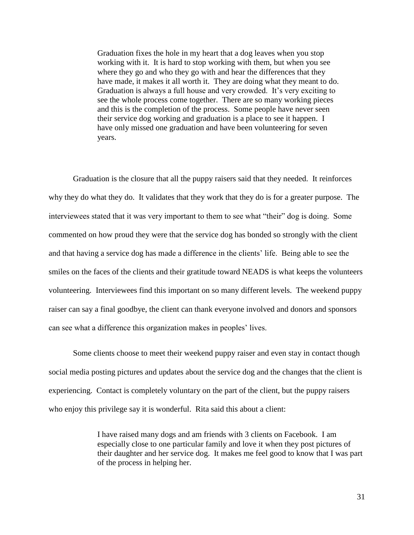Graduation fixes the hole in my heart that a dog leaves when you stop working with it. It is hard to stop working with them, but when you see where they go and who they go with and hear the differences that they have made, it makes it all worth it. They are doing what they meant to do. Graduation is always a full house and very crowded. It's very exciting to see the whole process come together. There are so many working pieces and this is the completion of the process. Some people have never seen their service dog working and graduation is a place to see it happen. I have only missed one graduation and have been volunteering for seven years.

Graduation is the closure that all the puppy raisers said that they needed. It reinforces why they do what they do. It validates that they work that they do is for a greater purpose. The interviewees stated that it was very important to them to see what "their" dog is doing. Some commented on how proud they were that the service dog has bonded so strongly with the client and that having a service dog has made a difference in the clients' life. Being able to see the smiles on the faces of the clients and their gratitude toward NEADS is what keeps the volunteers volunteering. Interviewees find this important on so many different levels. The weekend puppy raiser can say a final goodbye, the client can thank everyone involved and donors and sponsors can see what a difference this organization makes in peoples' lives.

Some clients choose to meet their weekend puppy raiser and even stay in contact though social media posting pictures and updates about the service dog and the changes that the client is experiencing. Contact is completely voluntary on the part of the client, but the puppy raisers who enjoy this privilege say it is wonderful. Rita said this about a client:

> I have raised many dogs and am friends with 3 clients on Facebook. I am especially close to one particular family and love it when they post pictures of their daughter and her service dog. It makes me feel good to know that I was part of the process in helping her.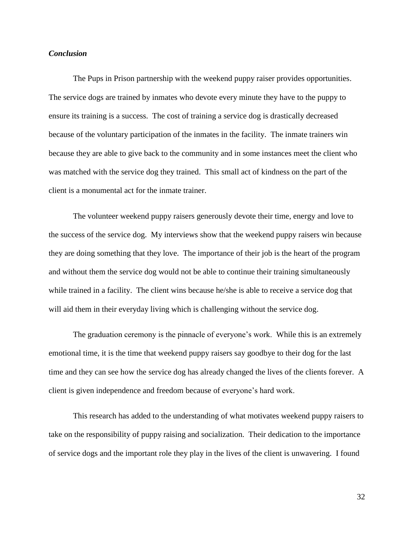## *Conclusion*

The Pups in Prison partnership with the weekend puppy raiser provides opportunities. The service dogs are trained by inmates who devote every minute they have to the puppy to ensure its training is a success. The cost of training a service dog is drastically decreased because of the voluntary participation of the inmates in the facility. The inmate trainers win because they are able to give back to the community and in some instances meet the client who was matched with the service dog they trained. This small act of kindness on the part of the client is a monumental act for the inmate trainer.

The volunteer weekend puppy raisers generously devote their time, energy and love to the success of the service dog. My interviews show that the weekend puppy raisers win because they are doing something that they love. The importance of their job is the heart of the program and without them the service dog would not be able to continue their training simultaneously while trained in a facility. The client wins because he/she is able to receive a service dog that will aid them in their everyday living which is challenging without the service dog.

The graduation ceremony is the pinnacle of everyone's work. While this is an extremely emotional time, it is the time that weekend puppy raisers say goodbye to their dog for the last time and they can see how the service dog has already changed the lives of the clients forever. A client is given independence and freedom because of everyone's hard work.

This research has added to the understanding of what motivates weekend puppy raisers to take on the responsibility of puppy raising and socialization. Their dedication to the importance of service dogs and the important role they play in the lives of the client is unwavering. I found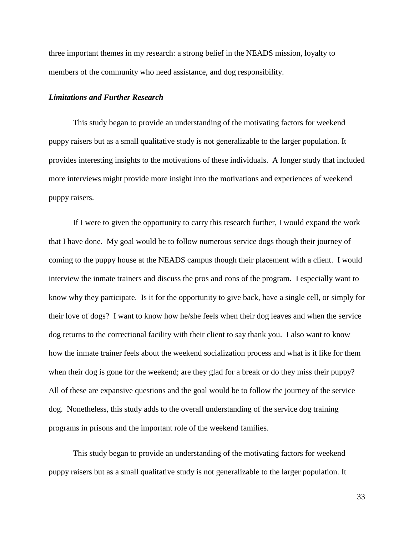three important themes in my research: a strong belief in the NEADS mission, loyalty to members of the community who need assistance, and dog responsibility.

#### *Limitations and Further Research*

This study began to provide an understanding of the motivating factors for weekend puppy raisers but as a small qualitative study is not generalizable to the larger population. It provides interesting insights to the motivations of these individuals. A longer study that included more interviews might provide more insight into the motivations and experiences of weekend puppy raisers.

If I were to given the opportunity to carry this research further, I would expand the work that I have done. My goal would be to follow numerous service dogs though their journey of coming to the puppy house at the NEADS campus though their placement with a client. I would interview the inmate trainers and discuss the pros and cons of the program. I especially want to know why they participate. Is it for the opportunity to give back, have a single cell, or simply for their love of dogs? I want to know how he/she feels when their dog leaves and when the service dog returns to the correctional facility with their client to say thank you. I also want to know how the inmate trainer feels about the weekend socialization process and what is it like for them when their dog is gone for the weekend; are they glad for a break or do they miss their puppy? All of these are expansive questions and the goal would be to follow the journey of the service dog. Nonetheless, this study adds to the overall understanding of the service dog training programs in prisons and the important role of the weekend families.

This study began to provide an understanding of the motivating factors for weekend puppy raisers but as a small qualitative study is not generalizable to the larger population. It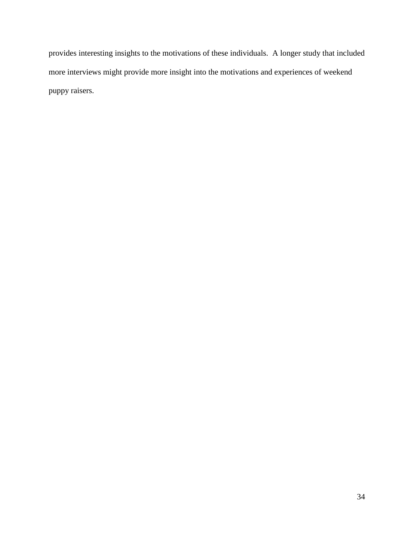provides interesting insights to the motivations of these individuals. A longer study that included more interviews might provide more insight into the motivations and experiences of weekend puppy raisers.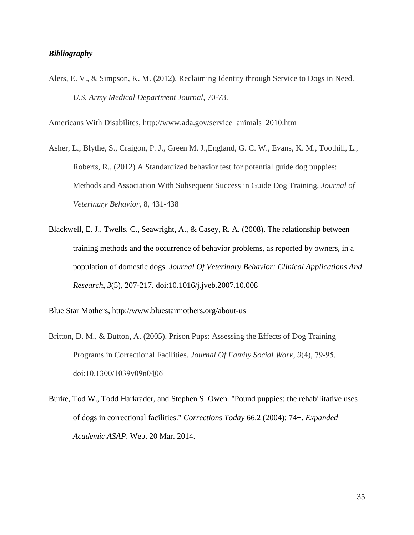## *Bibliography*

Alers, E. V., & Simpson, K. M. (2012). Reclaiming Identity through Service to Dogs in Need. *U.S. Army Medical Department Journal*, 70-73.

Americans With Disabilites, http://www.ada.gov/service\_animals\_2010.htm

- Asher, L., Blythe, S., Craigon, P. J., Green M. J.,England, G. C. W., Evans, K. M., Toothill, L., Roberts, R., (2012) A Standardized behavior test for potential guide dog puppies: Methods and Association With Subsequent Success in Guide Dog Training, *Journal of Veterinary Behavior,* 8, 431-438
- Blackwell, E. J., Twells, C., Seawright, A., & Casey, R. A. (2008). The relationship between training methods and the occurrence of behavior problems, as reported by owners, in a population of domestic dogs. *Journal Of Veterinary Behavior: Clinical Applications And Research*, *3*(5), 207-217. doi:10.1016/j.jveb.2007.10.008

Blue Star Mothers, http://www.bluestarmothers.org/about-us

- Britton, D. M., & Button, A. (2005). Prison Pups: Assessing the Effects of Dog Training Programs in Correctional Facilities. *Journal Of Family Social Work*, 9(4), 79-95. doi:10.1300/1039v09n0406
- Burke, Tod W., Todd Harkrader, and Stephen S. Owen. "Pound puppies: the rehabilitative uses of dogs in correctional facilities." *Corrections Today* 66.2 (2004): 74+. *Expanded Academic ASAP*. Web. 20 Mar. 2014.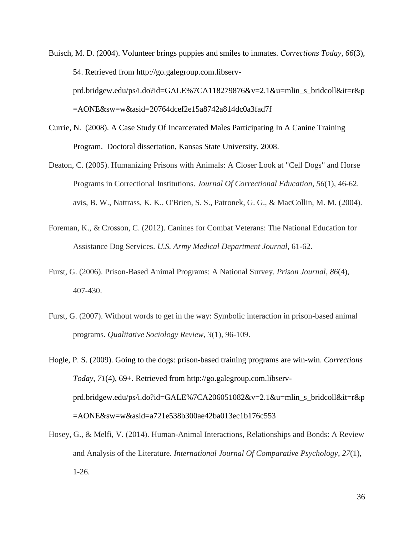Buisch, M. D. (2004). Volunteer brings puppies and smiles to inmates. *Corrections Today*, *66*(3), 54. Retrieved from http://go.galegroup.com.libservprd.bridgew.edu/ps/i.do?id=GALE%7CA118279876&v=2.1&u=mlin\_s\_bridcoll&it=r&p =AONE&sw=w&asid=20764dcef2e15a8742a814dc0a3fad7f

- Currie, N. (2008). A Case Study Of Incarcerated Males Participating In A Canine Training Program. Doctoral dissertation, Kansas State University, 2008.
- Deaton, C. (2005). Humanizing Prisons with Animals: A Closer Look at "Cell Dogs" and Horse Programs in Correctional Institutions. *Journal Of Correctional Education*, *56*(1), 46-62. avis, B. W., Nattrass, K. K., O'Brien, S. S., Patronek, G. G., & MacCollin, M. M. (2004).
- Foreman, K., & Crosson, C. (2012). Canines for Combat Veterans: The National Education for Assistance Dog Services. *U.S. Army Medical Department Journal*, 61-62.
- Furst, G. (2006). Prison-Based Animal Programs: A National Survey. *Prison Journal*, *86*(4), 407-430.
- Furst, G. (2007). Without words to get in the way: Symbolic interaction in prison-based animal programs. *Qualitative Sociology Review*, *3*(1), 96-109.

Hogle, P. S. (2009). Going to the dogs: prison-based training programs are win-win. *Corrections Today*, *71*(4), 69+. Retrieved from http://go.galegroup.com.libservprd.bridgew.edu/ps/i.do?id=GALE%7CA206051082&v=2.1&u=mlin\_s\_bridcoll&it=r&p =AONE&sw=w&asid=a721e538b300ae42ba013ec1b176c553

Hosey, G., & Melfi, V. (2014). Human-Animal Interactions, Relationships and Bonds: A Review and Analysis of the Literature. *International Journal Of Comparative Psychology*, *27*(1), 1-26.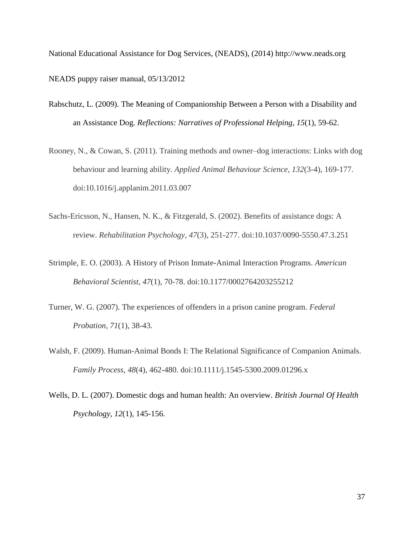National Educational Assistance for Dog Services, (NEADS), (2014) http://www.neads.org NEADS puppy raiser manual, 05/13/2012

- Rabschutz, L. (2009). The Meaning of Companionship Between a Person with a Disability and an Assistance Dog. *Reflections: Narratives of Professional Helping*, *15*(1), 59-62.
- Rooney, N., & Cowan, S. (2011). Training methods and owner–dog interactions: Links with dog behaviour and learning ability. *Applied Animal Behaviour Science*, *132*(3-4), 169-177. doi:10.1016/j.applanim.2011.03.007
- Sachs-Ericsson, N., Hansen, N. K., & Fitzgerald, S. (2002). Benefits of assistance dogs: A review. *Rehabilitation Psychology*, *47*(3), 251-277. doi:10.1037/0090-5550.47.3.251
- Strimple, E. O. (2003). A History of Prison Inmate-Animal Interaction Programs. *American Behavioral Scientist*, *47*(1), 70-78. doi:10.1177/0002764203255212
- Turner, W. G. (2007). The experiences of offenders in a prison canine program. *Federal Probation*, *71*(1), 38-43.
- Walsh, F. (2009). Human-Animal Bonds I: The Relational Significance of Companion Animals. *Family Process*, *48*(4), 462-480. doi:10.1111/j.1545-5300.2009.01296.x
- Wells, D. L. (2007). Domestic dogs and human health: An overview. *British Journal Of Health Psychology*, *12*(1), 145-156.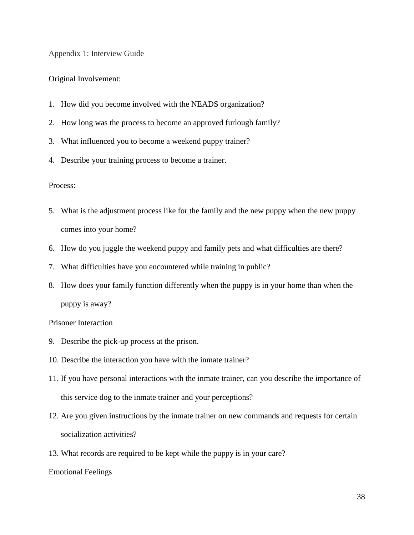Appendix 1: Interview Guide

## Original Involvement:

- 1. How did you become involved with the NEADS organization?
- 2. How long was the process to become an approved furlough family?
- 3. What influenced you to become a weekend puppy trainer?
- 4. Describe your training process to become a trainer.

## Process:

- 5. What is the adjustment process like for the family and the new puppy when the new puppy comes into your home?
- 6. How do you juggle the weekend puppy and family pets and what difficulties are there?
- 7. What difficulties have you encountered while training in public?
- 8. How does your family function differently when the puppy is in your home than when the puppy is away?

#### Prisoner Interaction

- 9. Describe the pick-up process at the prison.
- 10. Describe the interaction you have with the inmate trainer?
- 11. If you have personal interactions with the inmate trainer, can you describe the importance of this service dog to the inmate trainer and your perceptions?
- 12. Are you given instructions by the inmate trainer on new commands and requests for certain socialization activities?
- 13. What records are required to be kept while the puppy is in your care?

Emotional Feelings